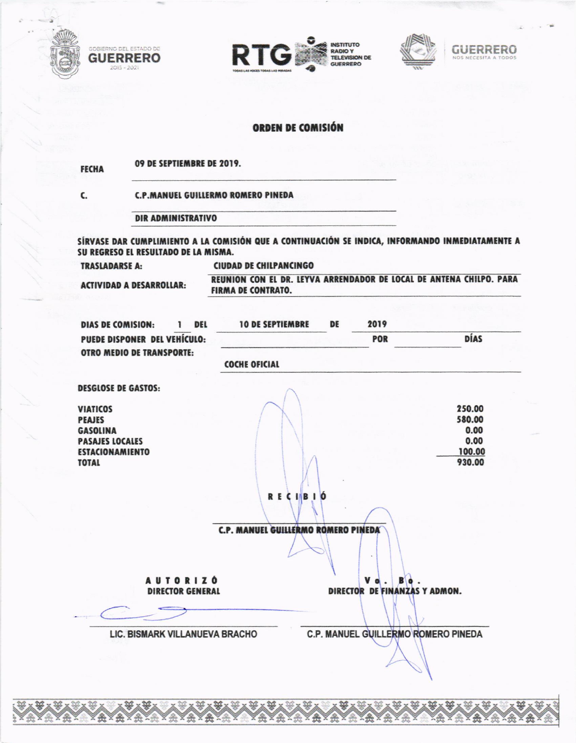







## ORDEN DE COMISIÓN

09 DE SEPTIEMBRE DE 2019. **FECHA** 

**C.P.MANUEL GUILLERMO ROMERO PINEDA** 

**DIR ADMINISTRATIVO** 

SÍRVASE DAR CUMPLIMIENTO A LA COMISIÓN QUE A CONTINUACIÓN SE INDICA, INFORMANDO INMEDIATAMENTE A SU REGRESO EL RESULTADO DE LA MISMA.

**TRASLADARSE A:** 

C.

2015 - 2021

**CIUDAD DE CHILPANCINGO** 

**ACTIVIDAD A DESARROLLAR:** 

REUNION CON EL DR. LEYVA ARRENDADOR DE LOCAL DE ANTENA CHILPO. PARA **FIRMA DE CONTRATO.** 

| <b>DIAS DE COMISION:</b><br>DEL<br>ı                                | <b>10 DE SEPTIEMBRE</b>             | DE | 2019                                |                        |
|---------------------------------------------------------------------|-------------------------------------|----|-------------------------------------|------------------------|
| PUEDE DISPONER DEL VEHÍCULO:                                        |                                     |    | POR                                 | DÍAS                   |
| <b>OTRO MEDIO DE TRANSPORTE:</b>                                    | <b>COCHE OFICIAL</b>                |    |                                     |                        |
| <b>DESGLOSE DE GASTOS:</b>                                          |                                     |    |                                     |                        |
| <b>VIATICOS</b><br><b>PEAJES</b>                                    |                                     |    |                                     | 250.00<br>580.00       |
| <b>GASOLINA</b><br><b>PASAJES LOCALES</b><br><b>ESTACIONAMIENTO</b> |                                     |    |                                     | 0.00<br>0.00<br>100.00 |
| <b>TOTAL</b>                                                        |                                     |    |                                     | 930.00                 |
|                                                                     |                                     |    |                                     |                        |
|                                                                     | <b>RECIBIÓ</b>                      |    |                                     |                        |
|                                                                     |                                     |    |                                     |                        |
|                                                                     | C.P. MANUEL GUILLERMO ROMERO PINEDA |    |                                     |                        |
|                                                                     |                                     |    |                                     |                        |
| <b>AUTORIZÓ</b>                                                     |                                     |    | v                                   |                        |
| <b>DIRECTOR GENERAL</b>                                             |                                     |    | DIRECTOR DE FINANZAS Y ADMON.       |                        |
|                                                                     |                                     |    |                                     |                        |
| LIC. BISMARK VILLANUEVA BRACHO                                      |                                     |    | C.P. MANUEL GUILLERMO ROMERO PINEDA |                        |
|                                                                     |                                     |    |                                     |                        |
|                                                                     |                                     |    |                                     |                        |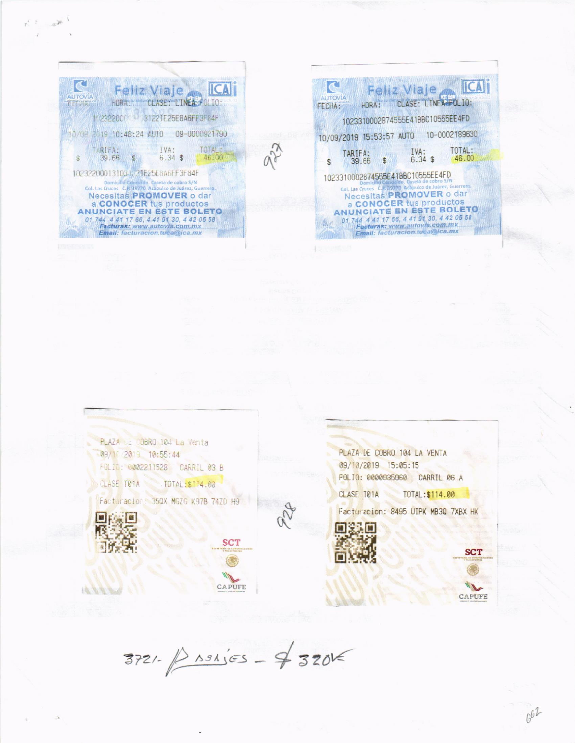

| Feliz Viaje                                                                                                                            |  |  |  |  |  |
|----------------------------------------------------------------------------------------------------------------------------------------|--|--|--|--|--|
| <b>AUTOVIA</b><br>CLASE: LINEA-FOLIO:<br>FFCHA:                                                                                        |  |  |  |  |  |
| 1023310002874555E41BBC10555EE4FD                                                                                                       |  |  |  |  |  |
| 10-0002189630<br>10/09/2019 15:53:57 AUTO                                                                                              |  |  |  |  |  |
| TOTAL:<br>IVA:<br>TARIFA:<br>46.00<br>$6.34$ \$<br>39.66<br>$\mathcal{S}$                                                              |  |  |  |  |  |
| 1023310002874555E41BBC10555EE4FD<br>Domicillo Conocido. Caseta de cobro S/N<br>Col, Las Cruces C.R. 39770 Acapulco de Juárez, Guerrem. |  |  |  |  |  |
| Necesitas PROMOVER o dar<br>a CONOCER tus productos                                                                                    |  |  |  |  |  |
| <b>ANUNCIATE EN ESTE BOLETO</b><br>01 744 4 41 17 66, 4 41 91 30, 4 42 05 58<br>Facturas: www.autov/a.com.mx                           |  |  |  |  |  |
| Email: facturacion.tuca@ica.mx                                                                                                         |  |  |  |  |  |

PLAZA DE COBRO 104 La Venta 09/10/2019 10:55:44 FOLIO: 0002211528 CARRIL 03 B CLASE TØ1A TOTAL:\$114.00

Facturacion: 350X MGZG K97B 74ZD H9



**IN SOLUTION** 



PLAZA DE COBRO 104 LA VENTA 09/10/2019 15:05:15 FOLIO: 0000935960 CARRIL 06 A

CLASE T01A TOTAL:\$114.00

Facturacion: 8495 UIPK MB30 7XBX HK





 $662$ 

 $3721 - 881555 - 432015$ 

**SCT** 

CAPUFE